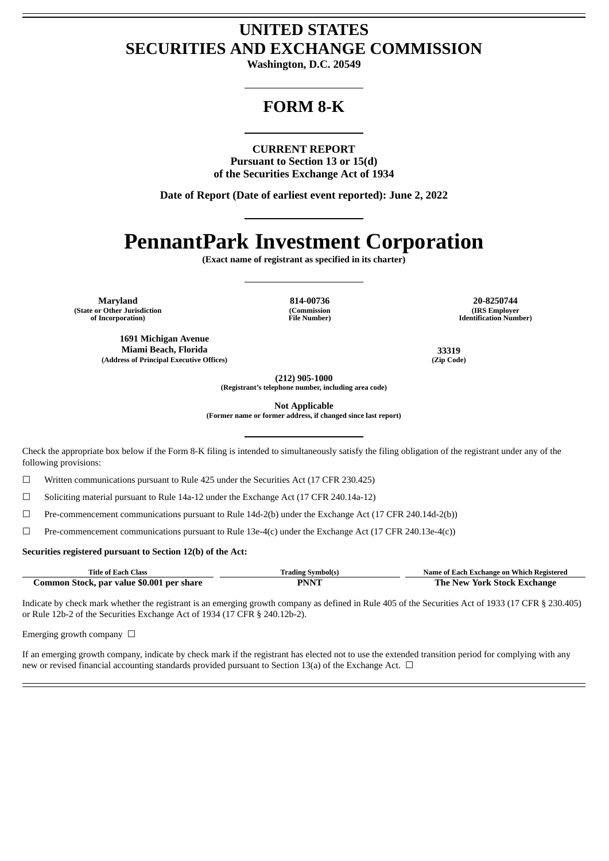## **UNITED STATES SECURITIES AND EXCHANGE COMMISSION**

**Washington, D.C. 20549**

## **FORM 8-K**

### **CURRENT REPORT**

**Pursuant to Section 13 or 15(d) of the Securities Exchange Act of 1934**

**Date of Report (Date of earliest event reported): June 2, 2022**

# **PennantPark Investment Corporation**

**(Exact name of registrant as specified in its charter)**

**Maryland 814-00736 20-8250744 (State or Other Jurisdiction of Incorporation)**

**1691 Michigan Avenue Miami Beach, Florida 33319 (Address of Principal Executive Offices) (Zip Code)**

**(Commission File Number)**

**(IRS Employer Identification Number)**

**(212) 905-1000**

**(Registrant's telephone number, including area code)**

**Not Applicable**

**(Former name or former address, if changed since last report)**

Check the appropriate box below if the Form 8-K filing is intended to simultaneously satisfy the filing obligation of the registrant under any of the following provisions:

☐ Written communications pursuant to Rule 425 under the Securities Act (17 CFR 230.425)

☐ Soliciting material pursuant to Rule 14a-12 under the Exchange Act (17 CFR 240.14a-12)

☐ Pre-commencement communications pursuant to Rule 14d-2(b) under the Exchange Act (17 CFR 240.14d-2(b))

 $\Box$  Pre-commencement communications pursuant to Rule 13e-4(c) under the Exchange Act (17 CFR 240.13e-4(c))

#### **Securities registered pursuant to Section 12(b) of the Act:**

| Title of Each Class                       | <b>Trading Symbol(s)</b> | Name of Each Exchange on Which Registered |
|-------------------------------------------|--------------------------|-------------------------------------------|
| Common Stock, par value \$0.001 per share | PNNT                     | The New York Stock Exchange               |

Indicate by check mark whether the registrant is an emerging growth company as defined in Rule 405 of the Securities Act of 1933 (17 CFR § 230.405) or Rule 12b-2 of the Securities Exchange Act of 1934 (17 CFR § 240.12b-2).

Emerging growth company  $\Box$ 

If an emerging growth company, indicate by check mark if the registrant has elected not to use the extended transition period for complying with any new or revised financial accounting standards provided pursuant to Section 13(a) of the Exchange Act.  $\Box$